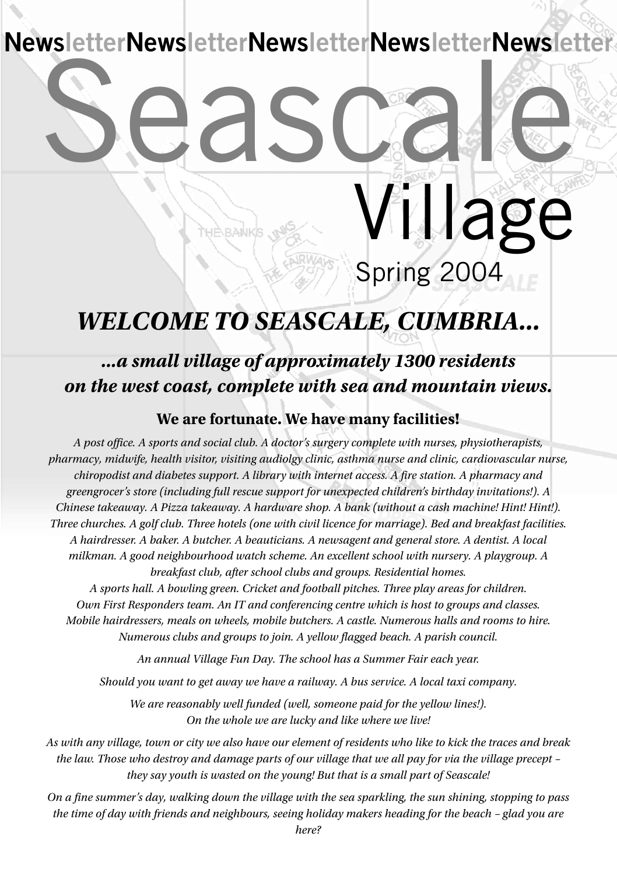**NewsletterNewsletterNewsletterNewsletterNewsletter**

## Seascale Spring 2004 Village

## *WELCOME TO SEASCALE, CUMBRIA...*

#### *...a small village of approximately 1300 residents on the west coast, complete with sea and mountain views.*

#### **We are fortunate. We have many facilities!**

*A post office. A sports and social club. A doctor's surgery complete with nurses, physiotherapists, pharmacy, midwife, health visitor, visiting audiolgy clinic, asthma nurse and clinic, cardiovascular nurse, chiropodist and diabetes support. A library with internet access. A fire station. A pharmacy and greengrocer's store (including full rescue support for unexpected children's birthday invitations!). A Chinese takeaway. A Pizza takeaway. A hardware shop. A bank (without a cash machine! Hint! Hint!).* Three churches. A golf club. Three hotels (one with civil licence for marriage). Bed and breakfast facilities. *A hairdresser. A baker. A butcher. A beauticians. A newsagent and general store. A dentist. A local milkman. A good neighbourhood watch scheme. An excellent school with nursery. A playgroup. A breakfast club, after school clubs and groups. Residential homes. A sports hall. A bowling green. Cricket and football pitches. Three play areas for children. Own First Responders team. An IT and conferencing centre which is host to groups and classes. Mobile hairdressers, meals on wheels, mobile butchers. A castle. Numerous halls and rooms to hire. Numerous clubs and groups to join. A yellow flagged beach. A parish council.*

*An annual Village Fun Day. The school has a Summer Fair each year.*

*Should you want to get away we have a railway. A bus service. A local taxi company.*

*We are reasonably well funded (well, someone paid for the yellow lines!). On the whole we are lucky and like where we live!*

As with any village, town or city we also have our element of residents who like to kick the traces and break the law. Those who destroy and damage parts of our village that we all pay for via the village precept *they say youth is wasted on the young! But that is a small part of Seascale!*

On a fine summer's day, walking down the village with the sea sparkling, the sun shining, stopping to pass the time of day with friends and neighbours, seeing holiday makers heading for the beach - glad you are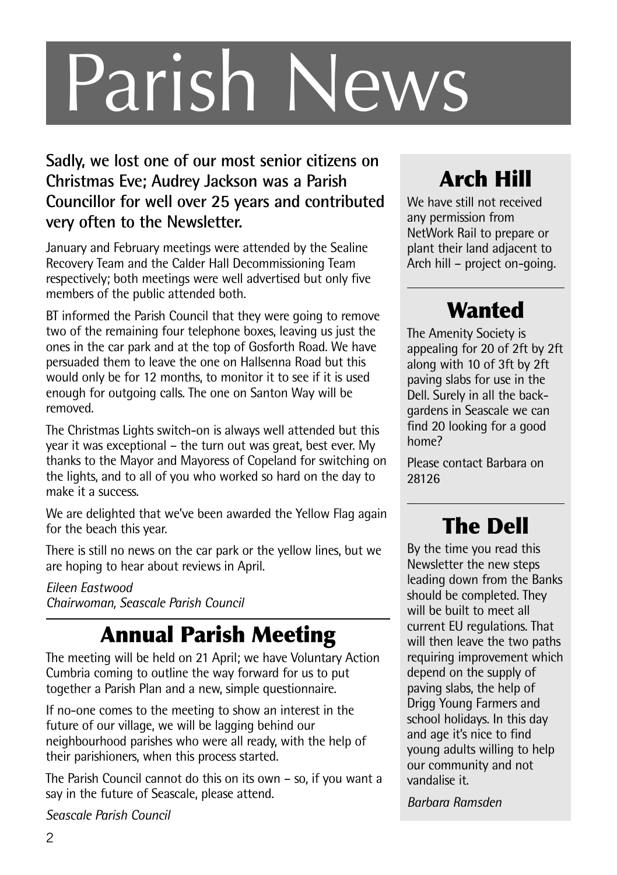# Parish News

#### **Sadly, we lost one of our most senior citizens on Christmas Eve; Audrey Jackson was a Parish Councillor for well over 25 years and contributed very often to the Newsletter.**

January and February meetings were attended by the Sealine Recovery Team and the Calder Hall Decommissioning Team respectively; both meetings were well advertised but only five members of the public attended both.

BT informed the Parish Council that they were going to remove two of the remaining four telephone boxes, leaving us just the ones in the car park and at the top of Gosforth Road. We have persuaded them to leave the one on Hallsenna Road but this would only be for 12 months, to monitor it to see if it is used enough for outgoing calls. The one on Santon Way will be removed.

The Christmas Lights switch-on is always well attended but this year it was exceptional – the turn out was great, best ever. My thanks to the Mayor and Mayoress of Copeland for switching on the lights, and to all of you who worked so hard on the day to make it a success.

We are delighted that we've been awarded the Yellow Flag again for the beach this year.

There is still no news on the car park or the yellow lines, but we are hoping to hear about reviews in April.

#### *Eileen Eastwood Chairwoman, Seascale Parish Council*

## **Annual Parish Meeting**

The meeting will be held on 21 April; we have Voluntary Action Cumbria coming to outline the way forward for us to put together a Parish Plan and a new, simple questionnaire.

If no-one comes to the meeting to show an interest in the future of our village, we will be lagging behind our neighbourhood parishes who were all ready, with the help of their parishioners, when this process started.

The Parish Council cannot do this on its own – so, if you want a say in the future of Seascale, please attend.

*Seascale Parish Council*

## **Arch Hill**

We have still not received any permission from NetWork Rail to prepare or plant their land adjacent to Arch hill – project on-going.

## **Wanted**

The Amenity Society is appealing for 20 of 2ft by 2ft along with 10 of 3ft by 2ft paving slabs for use in the Dell. Surely in all the backgardens in Seascale we can find 20 looking for a good home?

Please contact Barbara on 28126

## **The Dell**

By the time you read this Newsletter the new steps leading down from the Banks should be completed. They will be built to meet all current EU regulations. That will then leave the two paths requiring improvement which depend on the supply of paving slabs, the help of Drigg Young Farmers and school holidays. In this day and age it's nice to find young adults willing to help our community and not vandalise it.

*Barbara Ramsden*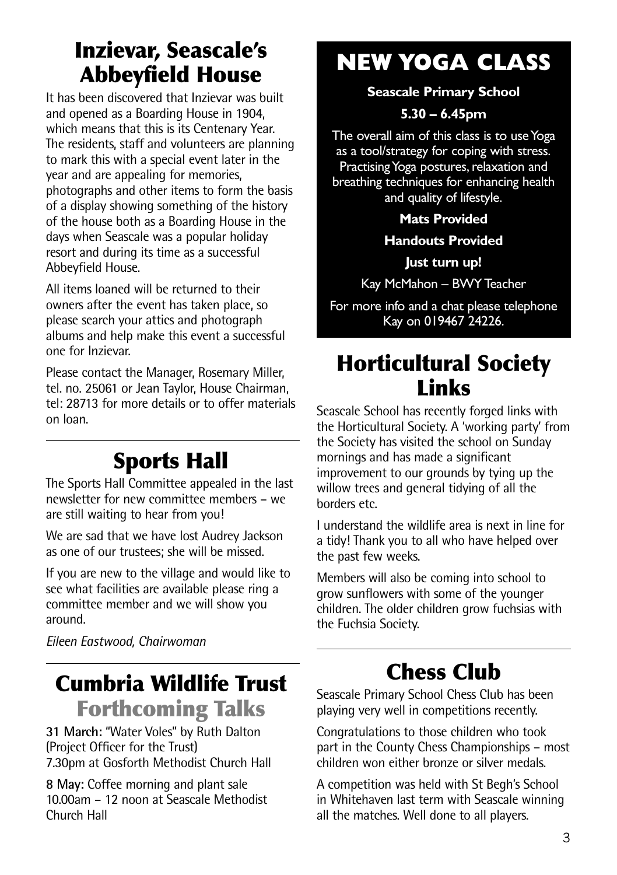## **Inzievar, Seascale's Abbeyfield House**

It has been discovered that Inzievar was built and opened as a Boarding House in 1904, which means that this is its Centenary Year. The residents, staff and volunteers are planning to mark this with a special event later in the year and are appealing for memories, photographs and other items to form the basis of a display showing something of the history of the house both as a Boarding House in the days when Seascale was a popular holiday resort and during its time as a successful Abbeyfield House.

All items loaned will be returned to their owners after the event has taken place, so please search your attics and photograph albums and help make this event a successful one for Inzievar.

Please contact the Manager, Rosemary Miller, tel. no. 25061 or Jean Taylor, House Chairman, tel: 28713 for more details or to offer materials on loan.

## **Sports Hall**

The Sports Hall Committee appealed in the last newsletter for new committee members – we are still waiting to hear from you!

We are sad that we have lost Audrey Jackson as one of our trustees; she will be missed.

If you are new to the village and would like to see what facilities are available please ring a committee member and we will show you around.

*Eileen Eastwood, Chairwoman*

## **Cumbria Wildlife Trust Forthcoming Talks**

**31 March:** "Water Voles" by Ruth Dalton (Project Officer for the Trust) 7.30pm at Gosforth Methodist Church Hall

**8 May:** Coffee morning and plant sale 10.00am – 12 noon at Seascale Methodist Church Hall

## **NEW YOGA CLASS**

**Seascale Primary School**

#### **5.30 – 6.45pm**

The overall aim of this class is to use Yoga as a tool/strategy for coping with stress. Practising Yoga postures, relaxation and breathing techniques for enhancing health and quality of lifestyle.

**Mats Provided**

#### **Handouts Provided**

**Just turn up!**

Kay McMahon – BWYTeacher

For more info and a chat please telephone Kay on 019467 24226.

## **Horticultural Society Links**

Seascale School has recently forged links with the Horticultural Society. A 'working party' from the Society has visited the school on Sunday mornings and has made a significant improvement to our grounds by tying up the willow trees and general tidying of all the borders etc.

I understand the wildlife area is next in line for a tidy! Thank you to all who have helped over the past few weeks.

Members will also be coming into school to grow sunflowers with some of the younger children. The older children grow fuchsias with the Fuchsia Society.

## **Chess Club**

Seascale Primary School Chess Club has been playing very well in competitions recently.

Congratulations to those children who took part in the County Chess Championships – most children won either bronze or silver medals.

A competition was held with St Begh's School in Whitehaven last term with Seascale winning all the matches. Well done to all players.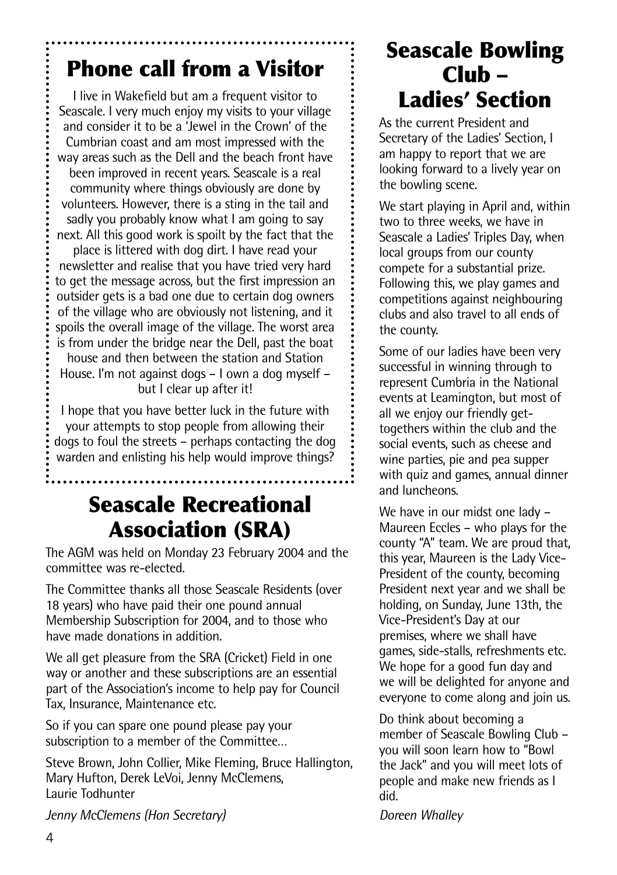## **Phone call from a Visitor**

I live in Wakefield but am a frequent visitor to Seascale. I very much enjoy my visits to your village and consider it to be a 'Jewel in the Crown' of the Cumbrian coast and am most impressed with the way areas such as the Dell and the beach front have been improved in recent years. Seascale is a real community where things obviously are done by volunteers. However, there is a sting in the tail and sadly you probably know what I am going to say next. All this good work is spoilt by the fact that the

place is littered with dog dirt. I have read your newsletter and realise that you have tried very hard to get the message across, but the first impression an outsider gets is a bad one due to certain dog owners of the village who are obviously not listening, and it spoils the overall image of the village. The worst area is from under the bridge near the Dell, past the boat

house and then between the station and Station House. I'm not against dogs – I own a dog myself – but I clear up after it!

I hope that you have better luck in the future with your attempts to stop people from allowing their dogs to foul the streets – perhaps contacting the dog warden and enlisting his help would improve things?

## **Seascale Recreational Association (SRA)**

The AGM was held on Monday 23 February 2004 and the committee was re-elected.

The Committee thanks all those Seascale Residents (over 18 years) who have paid their one pound annual Membership Subscription for 2004, and to those who have made donations in addition.

We all get pleasure from the SRA (Cricket) Field in one way or another and these subscriptions are an essential part of the Association's income to help pay for Council Tax, Insurance, Maintenance etc.

So if you can spare one pound please pay your subscription to a member of the Committee…

Steve Brown, John Collier, Mike Fleming, Bruce Hallington, Mary Hufton, Derek LeVoi, Jenny McClemens, Laurie Todhunter

*Jenny McClemens (Hon Secretary)*

## **Seascale Bowling Club – Ladies' Section**

As the current President and Secretary of the Ladies' Section, I am happy to report that we are looking forward to a lively year on the bowling scene.

We start playing in April and, within two to three weeks, we have in Seascale a Ladies' Triples Day, when local groups from our county compete for a substantial prize. Following this, we play games and competitions against neighbouring clubs and also travel to all ends of the county.

Some of our ladies have been very successful in winning through to represent Cumbria in the National events at Leamington, but most of all we enjoy our friendly gettogethers within the club and the social events, such as cheese and wine parties, pie and pea supper with quiz and games, annual dinner and luncheons.

We have in our midst one lady – Maureen Eccles – who plays for the county "A" team. We are proud that, this year, Maureen is the Lady Vice-President of the county, becoming President next year and we shall be holding, on Sunday, June 13th, the Vice-President's Day at our premises, where we shall have games, side-stalls, refreshments etc. We hope for a good fun day and we will be delighted for anyone and everyone to come along and join us.

Do think about becoming a member of Seascale Bowling Club – you will soon learn how to "Bowl the Jack" and you will meet lots of people and make new friends as I did.

*Doreen Whalley*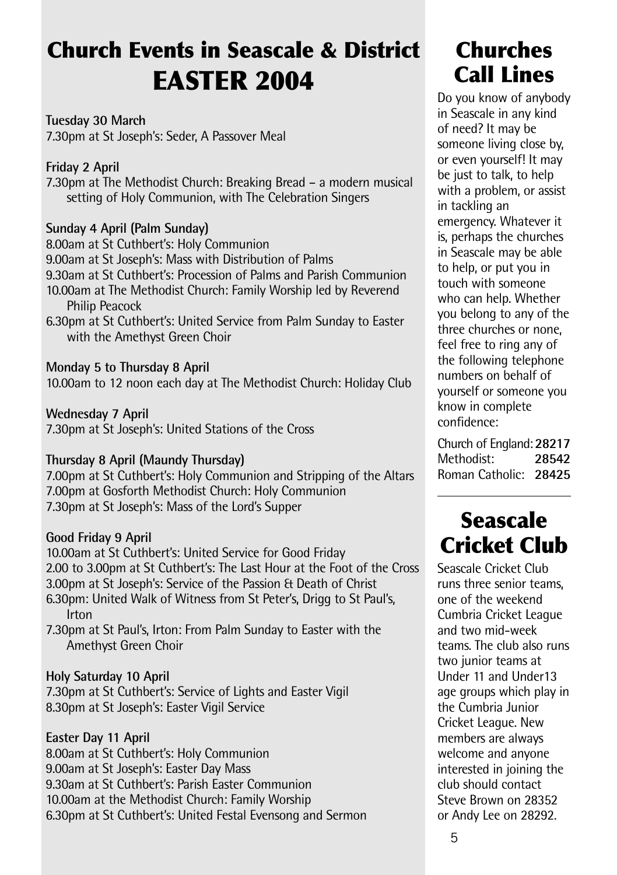## **Church Events in Seascale & District EASTER 2004**

**Tuesday 30 March** 7.30pm at St Joseph's: Seder, A Passover Meal

#### **Friday 2 April**

7.30pm at The Methodist Church: Breaking Bread – a modern musical setting of Holy Communion, with The Celebration Singers

#### **Sunday 4 April (Palm Sunday)**

8.00am at St Cuthbert's: Holy Communion 9.00am at St Joseph's: Mass with Distribution of Palms 9.30am at St Cuthbert's: Procession of Palms and Parish Communion 10.00am at The Methodist Church: Family Worship led by Reverend Philip Peacock

6.30pm at St Cuthbert's: United Service from Palm Sunday to Easter with the Amethyst Green Choir

#### **Monday 5 to Thursday 8 April**

10.00am to 12 noon each day at The Methodist Church: Holiday Club

#### **Wednesday 7 April**

7.30pm at St Joseph's: United Stations of the Cross

#### **Thursday 8 April (Maundy Thursday)**

7.00pm at St Cuthbert's: Holy Communion and Stripping of the Altars 7.00pm at Gosforth Methodist Church: Holy Communion 7.30pm at St Joseph's: Mass of the Lord's Supper

#### **Good Friday 9 April**

10.00am at St Cuthbert's: United Service for Good Friday 2.00 to 3.00pm at St Cuthbert's: The Last Hour at the Foot of the Cross 3.00pm at St Joseph's: Service of the Passion & Death of Christ 6.30pm: United Walk of Witness from St Peter's, Drigg to St Paul's, Irton

7.30pm at St Paul's, Irton: From Palm Sunday to Easter with the Amethyst Green Choir

#### **Holy Saturday 10 April**

7.30pm at St Cuthbert's: Service of Lights and Easter Vigil 8.30pm at St Joseph's: Easter Vigil Service

#### **Easter Day 11 April**

8.00am at St Cuthbert's: Holy Communion 9.00am at St Joseph's: Easter Day Mass 9.30am at St Cuthbert's: Parish Easter Communion 10.00am at the Methodist Church: Family Worship 6.30pm at St Cuthbert's: United Festal Evensong and Sermon

## **Churches Call Lines**

Do you know of anybody in Seascale in any kind of need? It may be someone living close by, or even yourself! It may be just to talk, to help with a problem, or assist in tackling an emergency. Whatever it is, perhaps the churches in Seascale may be able to help, or put you in touch with someone who can help. Whether you belong to any of the three churches or none, feel free to ring any of the following telephone numbers on behalf of yourself or someone you know in complete confidence:

Church of England:**28217** Methodist: **28542** Roman Catholic: **28425**

## **Seascale Cricket Club**

Seascale Cricket Club runs three senior teams, one of the weekend Cumbria Cricket League and two mid-week teams. The club also runs two junior teams at Under 11 and Under13 age groups which play in the Cumbria Junior Cricket League. New members are always welcome and anyone interested in joining the club should contact Steve Brown on 28352 or Andy Lee on 28292.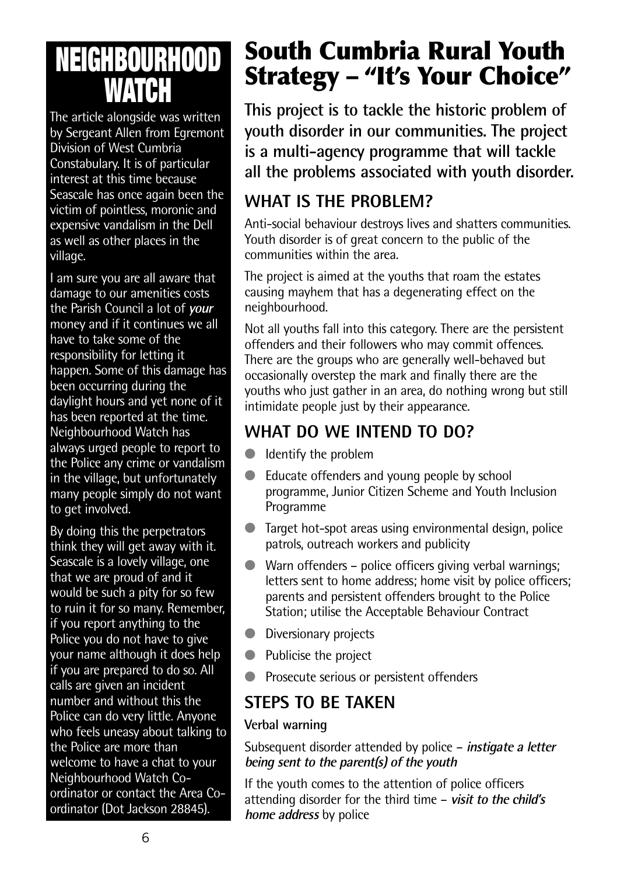## **NEIGHBOURHOOD WATCH**

The article alongside was written by Sergeant Allen from Egremont Division of West Cumbria Constabulary. It is of particular interest at this time because Seascale has once again been the victim of pointless, moronic and expensive vandalism in the Dell as well as other places in the village.

I am sure you are all aware that damage to our amenities costs the Parish Council a lot of **your** money and if it continues we all have to take some of the responsibility for letting it happen. Some of this damage has been occurring during the daylight hours and yet none of it has been reported at the time. Neighbourhood Watch has always urged people to report to the Police any crime or vandalism in the village, but unfortunately many people simply do not want to get involved.

By doing this the perpetrators think they will get away with it. Seascale is a lovely village, one that we are proud of and it would be such a pity for so few to ruin it for so many. Remember, if you report anything to the Police you do not have to give your name although it does help if you are prepared to do so. All calls are given an incident number and without this the Police can do very little. Anyone who feels uneasy about talking to the Police are more than welcome to have a chat to your Neighbourhood Watch Coordinator or contact the Area Coordinator (Dot Jackson 28845).

## **South Cumbria Rural Youth Strategy – "It's Your Choice"**

**This project is to tackle the historic problem of youth disorder in our communities. The project is a multi-agency programme that will tackle all the problems associated with youth disorder.**

#### **WHAT IS THE PROBLEM?**

Anti-social behaviour destroys lives and shatters communities. Youth disorder is of great concern to the public of the communities within the area.

The project is aimed at the youths that roam the estates causing mayhem that has a degenerating effect on the neighbourhood.

Not all youths fall into this category. There are the persistent offenders and their followers who may commit offences. There are the groups who are generally well-behaved but occasionally overstep the mark and finally there are the youths who just gather in an area, do nothing wrong but still intimidate people just by their appearance.

#### **WHAT DO WE INTEND TO DO?**

- Identify the problem
- Educate offenders and young people by school programme, Junior Citizen Scheme and Youth Inclusion Programme
- Target hot-spot areas using environmental design, police patrols, outreach workers and publicity
- Warn offenders police officers giving verbal warnings: letters sent to home address; home visit by police officers; parents and persistent offenders brought to the Police Station; utilise the Acceptable Behaviour Contract
- Diversionary projects
- Publicise the project
- Prosecute serious or persistent offenders

#### **STEPS TO BE TAKEN**

#### **Verbal warning**

Subsequent disorder attended by police – **instigate <sup>a</sup> letter being sent to the parent(s) of the youth**

If the youth comes to the attention of police officers attending disorder for the third time – **visit to the child's home address** by police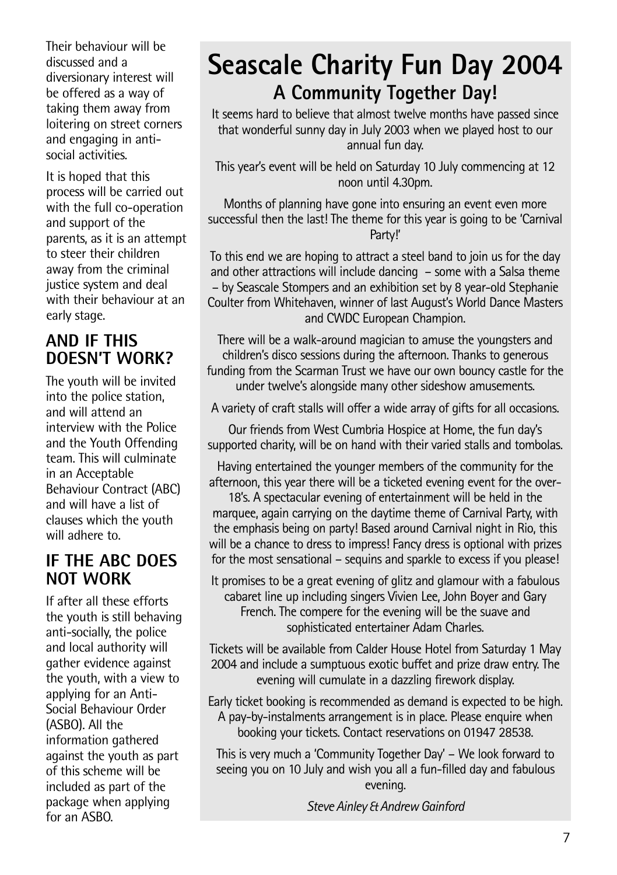Their behaviour will be discussed and a diversionary interest will be offered as a way of taking them away from loitering on street corners and engaging in antisocial activities.

It is hoped that this process will be carried out with the full co-operation and support of the parents, as it is an attempt to steer their children away from the criminal justice system and deal with their behaviour at an early stage.

#### **AND IF THIS DOESN'T WORK?**

The youth will be invited into the police station, and will attend an interview with the Police and the Youth Offending team. This will culminate in an Acceptable Behaviour Contract (ABC) and will have a list of clauses which the youth will adhere to.

#### **IF THE ABC DOES NOT WORK**

If after all these efforts the youth is still behaving anti-socially, the police and local authority will gather evidence against the youth, with a view to applying for an Anti-Social Behaviour Order (ASBO). All the information gathered against the youth as part of this scheme will be included as part of the package when applying for an ASBO.

## **Seascale Charity Fun Day 2004 A Community Together Day!**

It seems hard to believe that almost twelve months have passed since that wonderful sunny day in July 2003 when we played host to our annual fun day.

This year's event will be held on Saturday 10 July commencing at 12 noon until 4.30pm.

Months of planning have gone into ensuring an event even more successful then the last! The theme for this year is going to be 'Carnival Party!'

To this end we are hoping to attract a steel band to join us for the day and other attractions will include dancing – some with a Salsa theme – by Seascale Stompers and an exhibition set by 8 year-old Stephanie Coulter from Whitehaven, winner of last August's World Dance Masters and CWDC European Champion.

There will be a walk-around magician to amuse the youngsters and children's disco sessions during the afternoon. Thanks to generous funding from the Scarman Trust we have our own bouncy castle for the under twelve's alongside many other sideshow amusements.

A variety of craft stalls will offer a wide array of gifts for all occasions.

Our friends from West Cumbria Hospice at Home, the fun day's supported charity, will be on hand with their varied stalls and tombolas.

Having entertained the younger members of the community for the afternoon, this year there will be a ticketed evening event for the over-

18's. A spectacular evening of entertainment will be held in the marquee, again carrying on the daytime theme of Carnival Party, with the emphasis being on party! Based around Carnival night in Rio, this will be a chance to dress to impress! Fancy dress is optional with prizes for the most sensational – sequins and sparkle to excess if you please!

It promises to be a great evening of glitz and glamour with a fabulous cabaret line up including singers Vivien Lee, John Boyer and Gary French. The compere for the evening will be the suave and sophisticated entertainer Adam Charles.

Tickets will be available from Calder House Hotel from Saturday 1 May 2004 and include a sumptuous exotic buffet and prize draw entry. The evening will cumulate in a dazzling firework display.

Early ticket booking is recommended as demand is expected to be high. A pay-by-instalments arrangement is in place. Please enquire when booking your tickets. Contact reservations on 01947 28538.

This is very much a 'Community Together Day' – We look forward to seeing you on 10 July and wish you all a fun-filled day and fabulous evening.

*Steve Ainley&AndrewGainford*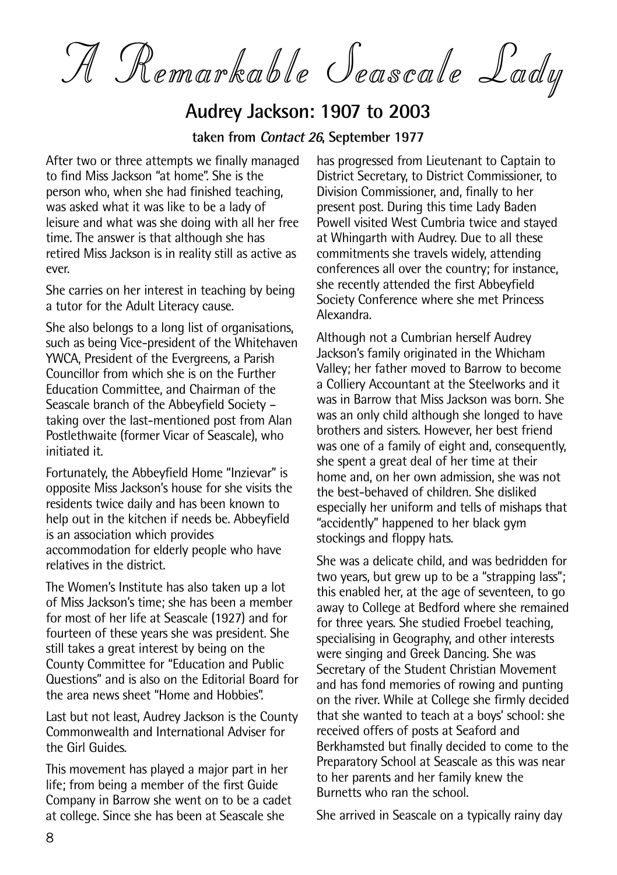A Remarkable Seascale Lady

#### **Audrey Jackson: 1907 to 2003**

**taken from Contact <sup>26</sup>, September 1977**

After two or three attempts we finally managed to find Miss Jackson "at home". She is the person who, when she had finished teaching, was asked what it was like to be a lady of leisure and what was she doing with all her free time. The answer is that although she has retired Miss Jackson is in reality still as active as ever.

She carries on her interest in teaching by being a tutor for the Adult Literacy cause.

She also belongs to a long list of organisations, such as being Vice-president of the Whitehaven YWCA, President of the Evergreens, a Parish Councillor from which she is on the Further Education Committee, and Chairman of the Seascale branch of the Abbeyfield Society – taking over the last-mentioned post from Alan Postlethwaite (former Vicar of Seascale), who initiated it.

Fortunately, the Abbeyfield Home "Inzievar" is opposite Miss Jackson's house for she visits the residents twice daily and has been known to help out in the kitchen if needs be. Abbeyfield is an association which provides accommodation for elderly people who have relatives in the district.

The Women's Institute has also taken up a lot of Miss Jackson's time; she has been a member for most of her life at Seascale (1927) and for fourteen of these years she was president. She still takes a great interest by being on the County Committee for "Education and Public Questions" and is also on the Editorial Board for the area news sheet "Home and Hobbies".

Last but not least, Audrey Jackson is the County Commonwealth and International Adviser for the Girl Guides.

This movement has played a major part in her life; from being a member of the first Guide Company in Barrow she went on to be a cadet at college. Since she has been at Seascale she

has progressed from Lieutenant to Captain to District Secretary, to District Commissioner, to Division Commissioner, and, finally to her present post. During this time Lady Baden Powell visited West Cumbria twice and stayed at Whingarth with Audrey. Due to all these commitments she travels widely, attending conferences all over the country; for instance, she recently attended the first Abbeyfield Society Conference where she met Princess Alexandra.

Although not a Cumbrian herself Audrey Jackson's family originated in the Whicham Valley; her father moved to Barrow to become a Colliery Accountant at the Steelworks and it was in Barrow that Miss Jackson was born. She was an only child although she longed to have brothers and sisters. However, her best friend was one of a family of eight and, consequently, she spent a great deal of her time at their home and, on her own admission, she was not the best-behaved of children. She disliked especially her uniform and tells of mishaps that "accidently" happened to her black gym stockings and floppy hats.

She was a delicate child, and was bedridden for two years, but grew up to be a "strapping lass": this enabled her, at the age of seventeen, to go away to College at Bedford where she remained for three years. She studied Froebel teaching, specialising in Geography, and other interests were singing and Greek Dancing. She was Secretary of the Student Christian Movement and has fond memories of rowing and punting on the river. While at College she firmly decided that she wanted to teach at a boys' school: she received offers of posts at Seaford and Berkhamsted but finally decided to come to the Preparatory School at Seascale as this was near to her parents and her family knew the Burnetts who ran the school.

She arrived in Seascale on a typically rainy day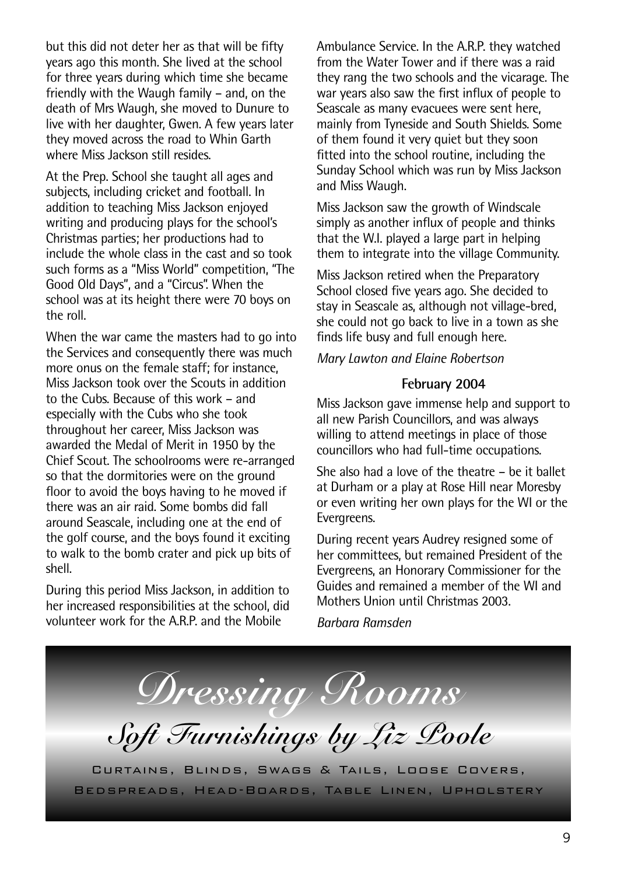but this did not deter her as that will be fifty years ago this month. She lived at the school for three years during which time she became friendly with the Waugh family – and, on the death of Mrs Waugh, she moved to Dunure to live with her daughter, Gwen. A few years later they moved across the road to Whin Garth where Miss Jackson still resides.

At the Prep. School she taught all ages and subjects, including cricket and football. In addition to teaching Miss Jackson enjoyed writing and producing plays for the school's Christmas parties; her productions had to include the whole class in the cast and so took such forms as a "Miss World" competition, "The Good Old Days", and a "Circus". When the school was at its height there were 70 boys on the roll.

When the war came the masters had to go into the Services and consequently there was much more onus on the female staff; for instance, Miss Jackson took over the Scouts in addition to the Cubs. Because of this work – and especially with the Cubs who she took throughout her career, Miss Jackson was awarded the Medal of Merit in 1950 by the Chief Scout. The schoolrooms were re-arranged so that the dormitories were on the ground floor to avoid the boys having to he moved if there was an air raid. Some bombs did fall around Seascale, including one at the end of the golf course, and the boys found it exciting to walk to the bomb crater and pick up bits of shell.

During this period Miss Jackson, in addition to her increased responsibilities at the school, did volunteer work for the A.R.P. and the Mobile

Ambulance Service. In the A.R.P. they watched from the Water Tower and if there was a raid they rang the two schools and the vicarage. The war years also saw the first influx of people to Seascale as many evacuees were sent here, mainly from Tyneside and South Shields. Some of them found it very quiet but they soon fitted into the school routine, including the Sunday School which was run by Miss Jackson and Miss Waugh.

Miss Jackson saw the growth of Windscale simply as another influx of people and thinks that the W.I. played a large part in helping them to integrate into the village Community.

Miss Jackson retired when the Preparatory School closed five years ago. She decided to stay in Seascale as, although not village-bred, she could not go back to live in a town as she finds life busy and full enough here.

*Mary Lawton and Elaine Robertson*

#### **February 2004**

Miss Jackson gave immense help and support to all new Parish Councillors, and was always willing to attend meetings in place of those councillors who had full-time occupations.

She also had a love of the theatre – be it ballet at Durham or a play at Rose Hill near Moresby or even writing her own plays for the WI or the Evergreens.

During recent years Audrey resigned some of her committees, but remained President of the Evergreens, an Honorary Commissioner for the Guides and remained a member of the WI and Mothers Union until Christmas 2003.

*Barbara Ramsden*

*Dressing Rooms Soft Furnishings by Liz Poole*

Curtains, Blinds, Swags & Tails, Loose Covers, Bedspreads, Head-Boards, Table Linen, Upholstery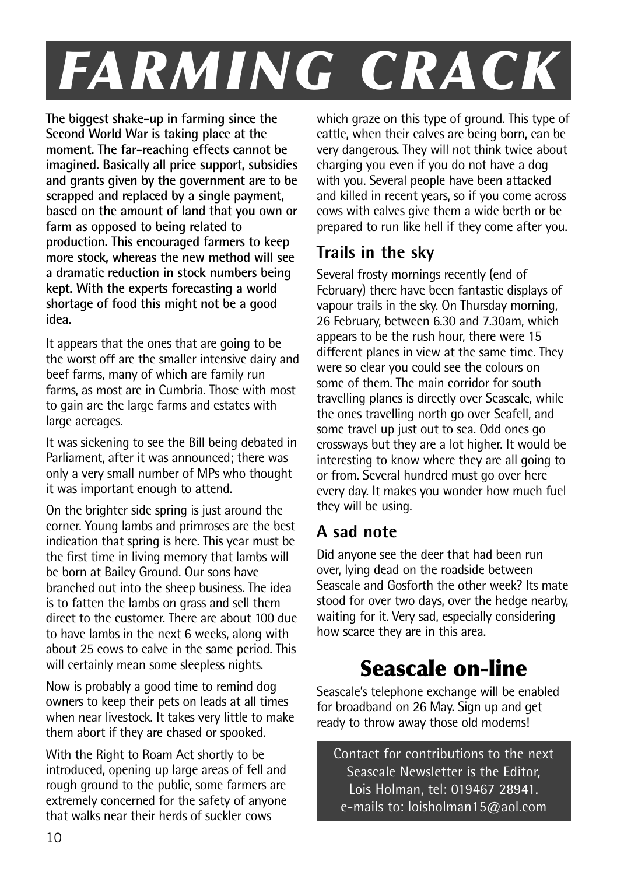## *FARMING CRACK*

**The biggest shake-up in farming since the Second World War is taking place at the moment. The far-reaching effects cannot be imagined. Basically all price support, subsidies and grants given by the government are to be scrapped and replaced by a single payment, based on the amount of land that you own or farm as opposed to being related to production. This encouraged farmers to keep more stock, whereas the new method will see a dramatic reduction in stock numbers being kept. With the experts forecasting a world shortage of food this might not be a good idea.**

It appears that the ones that are going to be the worst off are the smaller intensive dairy and beef farms, many of which are family run farms, as most are in Cumbria. Those with most to gain are the large farms and estates with large acreages.

It was sickening to see the Bill being debated in Parliament, after it was announced; there was only a very small number of MPs who thought it was important enough to attend.

On the brighter side spring is just around the corner. Young lambs and primroses are the best indication that spring is here. This year must be the first time in living memory that lambs will be born at Bailey Ground. Our sons have branched out into the sheep business. The idea is to fatten the lambs on grass and sell them direct to the customer. There are about 100 due to have lambs in the next 6 weeks, along with about 25 cows to calve in the same period. This will certainly mean some sleepless nights.

Now is probably a good time to remind dog owners to keep their pets on leads at all times when near livestock. It takes very little to make them abort if they are chased or spooked.

With the Right to Roam Act shortly to be introduced, opening up large areas of fell and rough ground to the public, some farmers are extremely concerned for the safety of anyone that walks near their herds of suckler cows

which graze on this type of ground. This type of cattle, when their calves are being born, can be very dangerous. They will not think twice about charging you even if you do not have a dog with you. Several people have been attacked and killed in recent years, so if you come across cows with calves give them a wide berth or be prepared to run like hell if they come after you.

#### **Trails in the sky**

Several frosty mornings recently (end of February) there have been fantastic displays of vapour trails in the sky. On Thursday morning, 26 February, between 6.30 and 7.30am, which appears to be the rush hour, there were 15 different planes in view at the same time. They were so clear you could see the colours on some of them. The main corridor for south travelling planes is directly over Seascale, while the ones travelling north go over Scafell, and some travel up just out to sea. Odd ones go crossways but they are a lot higher. It would be interesting to know where they are all going to or from. Several hundred must go over here every day. It makes you wonder how much fuel they will be using.

#### **A sad note**

Did anyone see the deer that had been run over, lying dead on the roadside between Seascale and Gosforth the other week? Its mate stood for over two days, over the hedge nearby, waiting for it. Very sad, especially considering how scarce they are in this area.

## **Seascale on-line**

Seascale's telephone exchange will be enabled for broadband on 26 May. Sign up and get ready to throw away those old modems!

Contact for contributions to the next Seascale Newsletter is the Editor, Lois Holman, tel: 019467 28941. e-mails to: loisholman15@aol.com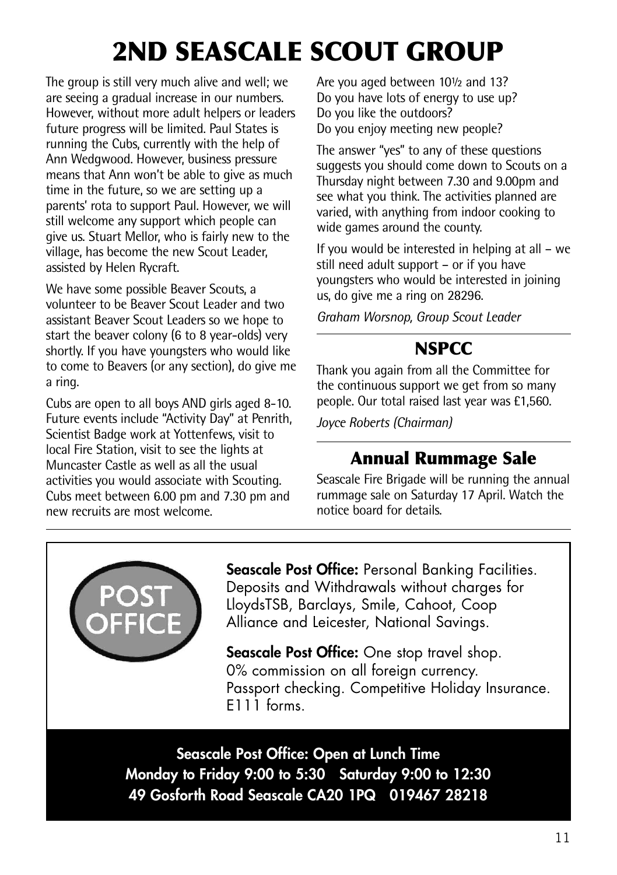## **2ND SEASCALE SCOUT GROUP**

The group is still very much alive and well; we are seeing a gradual increase in our numbers. However, without more adult helpers or leaders future progress will be limited. Paul States is running the Cubs, currently with the help of Ann Wedgwood. However, business pressure means that Ann won't be able to give as much time in the future, so we are setting up a parents' rota to support Paul. However, we will still welcome any support which people can give us. Stuart Mellor, who is fairly new to the village, has become the new Scout Leader, assisted by Helen Rycraft.

We have some possible Beaver Scouts, a volunteer to be Beaver Scout Leader and two assistant Beaver Scout Leaders so we hope to start the beaver colony (6 to 8 year-olds) very shortly. If you have youngsters who would like to come to Beavers (or any section), do give me a ring.

Cubs are open to all boys AND girls aged 8-10. Future events include "Activity Day" at Penrith, Scientist Badge work at Yottenfews, visit to local Fire Station, visit to see the lights at Muncaster Castle as well as all the usual activities you would associate with Scouting. Cubs meet between 6.00 pm and 7.30 pm and new recruits are most welcome.

Are you aged between 10½ and 13? Do you have lots of energy to use up? Do you like the outdoors? Do you enjoy meeting new people?

The answer "yes" to any of these questions suggests you should come down to Scouts on a Thursday night between 7.30 and 9.00pm and see what you think. The activities planned are varied, with anything from indoor cooking to wide games around the county.

If you would be interested in helping at all – we still need adult support – or if you have youngsters who would be interested in joining us, do give me a ring on 28296.

*Graham Worsnop, Group Scout Leader*

#### **NSPCC**

Thank you again from all the Committee for the continuous support we get from so many people. Our total raised last year was £1,560.

*Joyce Roberts (Chairman)*

#### **Annual Rummage Sale**

Seascale Fire Brigade will be running the annual rummage sale on Saturday 17 April. Watch the notice board for details.



**Seascale Post Office:** Personal Banking Facilities. Deposits and Withdrawals without charges for LloydsTSB, Barclays, Smile, Cahoot, Coop Alliance and Leicester, National Savings.

**Seascale Post Office:** One stop travel shop. 0% commission on all foreign currency. Passport checking. Competitive Holiday Insurance. E111 forms.

**Seascale Post Office: Open at Lunch Time Monday to Friday 9:00 to 5:30 Saturday 9:00 to 12:30 49 Gosforth Road Seascale CA20 1PQ 019467 28218**